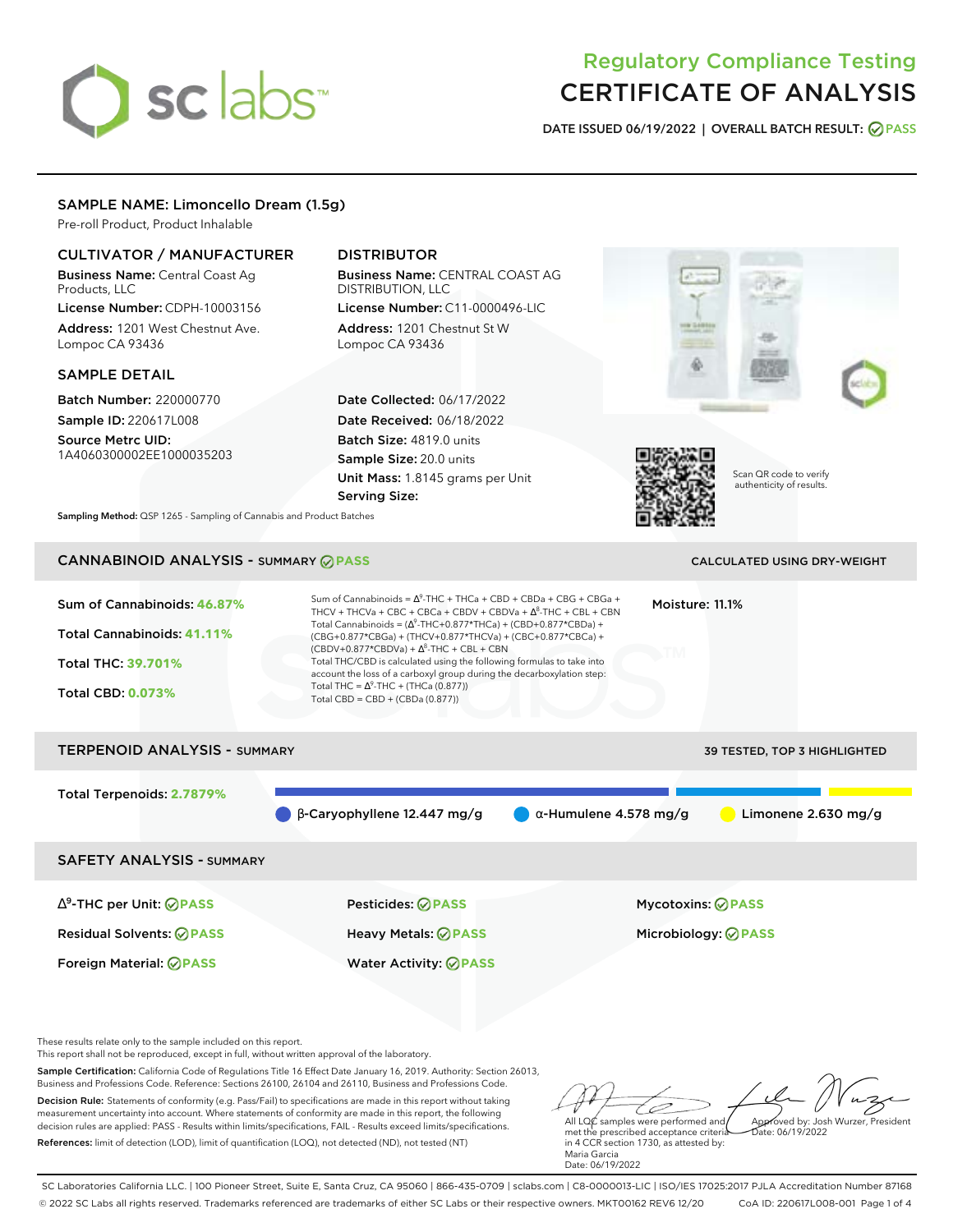# sclabs<sup>\*</sup>

# Regulatory Compliance Testing CERTIFICATE OF ANALYSIS

**DATE ISSUED 06/19/2022 | OVERALL BATCH RESULT: PASS**

# SAMPLE NAME: Limoncello Dream (1.5g)

Pre-roll Product, Product Inhalable

# CULTIVATOR / MANUFACTURER

Business Name: Central Coast Ag Products, LLC

License Number: CDPH-10003156 Address: 1201 West Chestnut Ave. Lompoc CA 93436

# SAMPLE DETAIL

Batch Number: 220000770 Sample ID: 220617L008

Source Metrc UID: 1A4060300002EE1000035203

# DISTRIBUTOR

Business Name: CENTRAL COAST AG DISTRIBUTION, LLC License Number: C11-0000496-LIC

Address: 1201 Chestnut St W Lompoc CA 93436

Date Collected: 06/17/2022 Date Received: 06/18/2022 Batch Size: 4819.0 units Sample Size: 20.0 units Unit Mass: 1.8145 grams per Unit Serving Size:





Scan QR code to verify authenticity of results.

**Sampling Method:** QSP 1265 - Sampling of Cannabis and Product Batches

# CANNABINOID ANALYSIS - SUMMARY **PASS** CALCULATED USING DRY-WEIGHT

| Sum of Cannabinoids: 46.87%<br>Total Cannabinoids: 41.11%<br><b>Total THC: 39.701%</b><br><b>Total CBD: 0.073%</b> | Sum of Cannabinoids = $\Delta^9$ -THC + THCa + CBD + CBDa + CBG + CBGa +<br>THCV + THCVa + CBC + CBCa + CBDV + CBDVa + $\Delta^8$ -THC + CBL + CBN<br>Total Cannabinoids = $(\Delta^9$ -THC+0.877*THCa) + (CBD+0.877*CBDa) +<br>(CBG+0.877*CBGa) + (THCV+0.877*THCVa) + (CBC+0.877*CBCa) +<br>$(CBDV+0.877*CBDVa) + \Delta^8$ -THC + CBL + CBN<br>Total THC/CBD is calculated using the following formulas to take into<br>account the loss of a carboxyl group during the decarboxylation step:<br>Total THC = $\Delta^9$ -THC + (THCa (0.877))<br>Total CBD = $CBD + (CBDa (0.877))$ | Moisture: 11.1%                     |
|--------------------------------------------------------------------------------------------------------------------|----------------------------------------------------------------------------------------------------------------------------------------------------------------------------------------------------------------------------------------------------------------------------------------------------------------------------------------------------------------------------------------------------------------------------------------------------------------------------------------------------------------------------------------------------------------------------------------|-------------------------------------|
| <b>TERPENOID ANALYSIS - SUMMARY</b>                                                                                |                                                                                                                                                                                                                                                                                                                                                                                                                                                                                                                                                                                        | <b>39 TESTED, TOP 3 HIGHLIGHTED</b> |

Total Terpenoids: **2.7879%**

 $\beta$ -Caryophyllene 12.447 mg/g  $\alpha$ -Humulene 4.578 mg/g  $\alpha$ -Limonene 2.630 mg/g

SAFETY ANALYSIS - SUMMARY

∆ 9 -THC per Unit: **PASS** Pesticides: **PASS** Mycotoxins: **PASS**

Residual Solvents: **PASS** Heavy Metals: **PASS** Microbiology: **PASS**

Foreign Material: **PASS** Water Activity: **PASS**

These results relate only to the sample included on this report.

This report shall not be reproduced, except in full, without written approval of the laboratory.

Sample Certification: California Code of Regulations Title 16 Effect Date January 16, 2019. Authority: Section 26013, Business and Professions Code. Reference: Sections 26100, 26104 and 26110, Business and Professions Code.

Decision Rule: Statements of conformity (e.g. Pass/Fail) to specifications are made in this report without taking measurement uncertainty into account. Where statements of conformity are made in this report, the following decision rules are applied: PASS - Results within limits/specifications, FAIL - Results exceed limits/specifications. References: limit of detection (LOD), limit of quantification (LOQ), not detected (ND), not tested (NT)

All LQC samples were performed and Approved by: Josh Wurzer, President Date: 06/19/2022

met the prescribed acceptance criteria in 4 CCR section 1730, as attested by: Maria Garcia Date: 06/19/2022

SC Laboratories California LLC. | 100 Pioneer Street, Suite E, Santa Cruz, CA 95060 | 866-435-0709 | sclabs.com | C8-0000013-LIC | ISO/IES 17025:2017 PJLA Accreditation Number 87168 © 2022 SC Labs all rights reserved. Trademarks referenced are trademarks of either SC Labs or their respective owners. MKT00162 REV6 12/20 CoA ID: 220617L008-001 Page 1 of 4